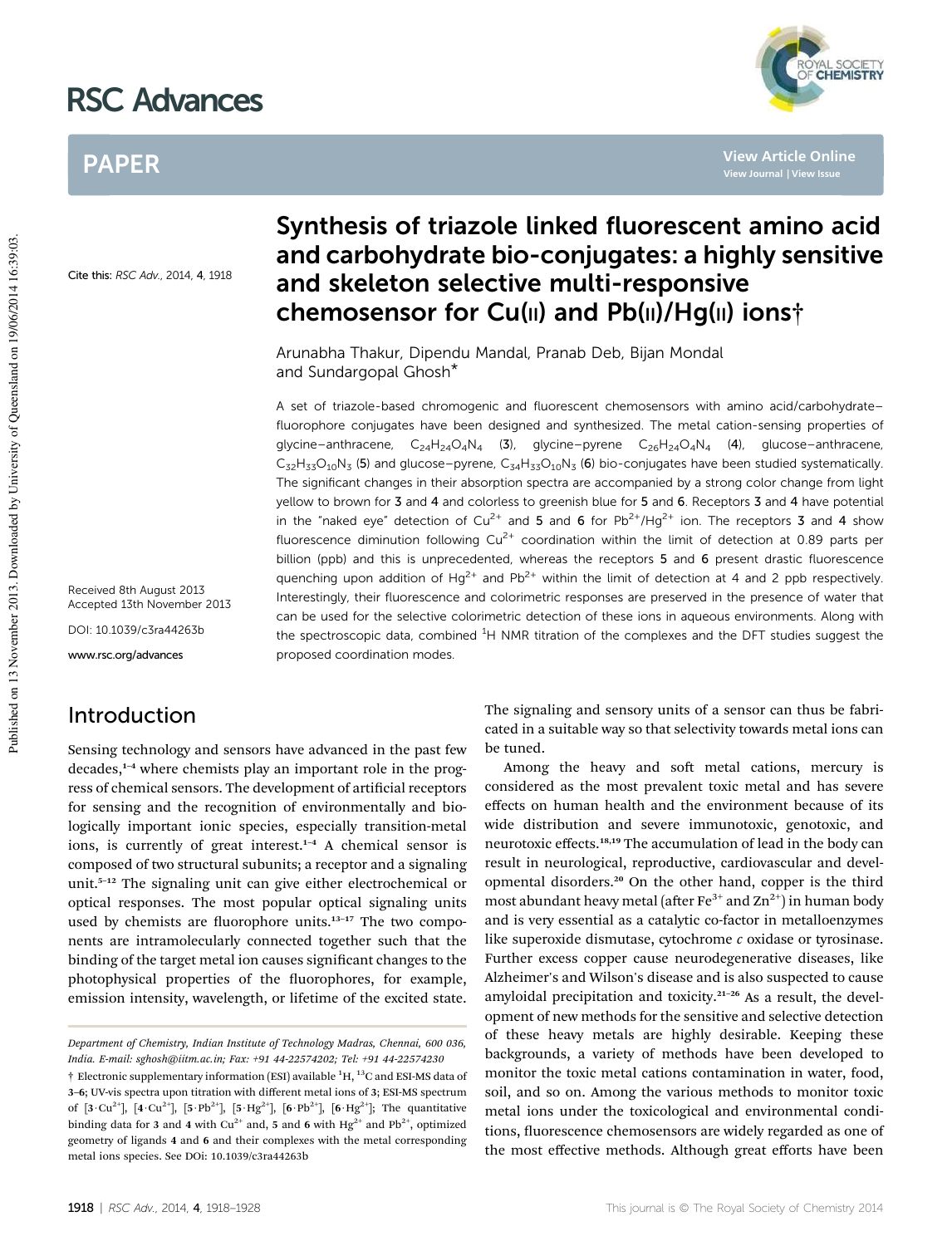# RSC Advances

# PAPER

**View Article Online**

**YAL SOCIETY** 

Cite this: RSC Adv., 2014, 4, 1918

Received 8th August 2013 Accepted 13th November 2013

DOI: 10.1039/c3ra44263b

www.rsc.org/advances

# Introduction

Sensing technology and sensors have advanced in the past few  $decades$ <sup>1-4</sup> where chemists play an important role in the progress of chemical sensors. The development of artificial receptors for sensing and the recognition of environmentally and biologically important ionic species, especially transition-metal ions, is currently of great interest.<sup>1-4</sup> A chemical sensor is composed of two structural subunits; a receptor and a signaling unit.<sup>5-12</sup> The signaling unit can give either electrochemical or optical responses. The most popular optical signaling units used by chemists are fluorophore units.<sup>13-17</sup> The two components are intramolecularly connected together such that the binding of the target metal ion causes significant changes to the photophysical properties of the fluorophores, for example, emission intensity, wavelength, or lifetime of the excited state.

# Synthesis of triazole linked fluorescent amino acid and carbohydrate bio-conjugates: a highly sensitive and skeleton selective multi-responsive chemosensor for Cu(II) and Pb(II)/Hg(II) ions†

Arunabha Thakur, Dipendu Mandal, Pranab Deb, Bijan Mondal and Sundargopal Ghosh\*

A set of triazole-based chromogenic and fluorescent chemosensors with amino acid/carbohydrate– fluorophore conjugates have been designed and synthesized. The metal cation-sensing properties of glycine–anthracene,  $C_{24}H_{24}O_4N_4$  (3), glycine–pyrene  $C_{26}H_{24}O_4N_4$  (4), glucose–anthracene,  $C_{32}H_{33}O_{10}N_3$  (5) and glucose–pyrene,  $C_{34}H_{33}O_{10}N_3$  (6) bio-conjugates have been studied systematically. The significant changes in their absorption spectra are accompanied by a strong color change from light yellow to brown for 3 and 4 and colorless to greenish blue for 5 and 6. Receptors 3 and 4 have potential in the "naked eye" detection of Cu<sup>2+</sup> and 5 and 6 for Pb<sup>2+</sup>/Hg<sup>2+</sup> ion. The receptors 3 and 4 show fluorescence diminution following Cu<sup>2+</sup> coordination within the limit of detection at 0.89 parts per billion (ppb) and this is unprecedented, whereas the receptors 5 and 6 present drastic fluorescence quenching upon addition of  $Hg^{2+}$  and Pb<sup>2+</sup> within the limit of detection at 4 and 2 ppb respectively. Interestingly, their fluorescence and colorimetric responses are preserved in the presence of water that can be used for the selective colorimetric detection of these ions in aqueous environments. Along with the spectroscopic data, combined <sup>1</sup>H NMR titration of the complexes and the DFT studies suggest the proposed coordination modes.

> The signaling and sensory units of a sensor can thus be fabricated in a suitable way so that selectivity towards metal ions can be tuned.

> Among the heavy and soft metal cations, mercury is considered as the most prevalent toxic metal and has severe effects on human health and the environment because of its wide distribution and severe immunotoxic, genotoxic, and neurotoxic effects.18,19 The accumulation of lead in the body can result in neurological, reproductive, cardiovascular and developmental disorders.<sup>20</sup> On the other hand, copper is the third most abundant heavy metal (after  $\text{Fe}^{3+}$  and  $\text{Zn}^{2+}$ ) in human body and is very essential as a catalytic co-factor in metalloenzymes like superoxide dismutase, cytochrome *c* oxidase or tyrosinase. Further excess copper cause neurodegenerative diseases, like Alzheimer's and Wilson's disease and is also suspected to cause amyloidal precipitation and toxicity.<sup>21</sup>–<sup>26</sup> As a result, the development of new methods for the sensitive and selective detection of these heavy metals are highly desirable. Keeping these backgrounds, a variety of methods have been developed to monitor the toxic metal cations contamination in water, food, soil, and so on. Among the various methods to monitor toxic metal ions under the toxicological and environmental conditions, fluorescence chemosensors are widely regarded as one of the most effective methods. Although great efforts have been

*Department of Chemistry, Indian Institute of Technology Madras, Chennai, 600 036, India. E-mail: sghosh@iitm.ac.in; Fax: +91 44-22574202; Tel: +91 44-22574230*

 $\dagger$  Electronic supplementary information (ESI) available  ${}^{1}H, {}^{13}C$  and ESI-MS data of 3–6; UV-vis spectra upon titration with different metal ions of 3; ESI-MS spectrum of  $[3 \cdot Cu^{2+}]$ ,  $[4 \cdot Cu^{2+}]$ ,  $[5 \cdot Pb^{2+}]$ ,  $[5 \cdot Hg^{2+}]$ ,  $[6 \cdot Pb^{2+}]$ ,  $[6 \cdot Hg^{2+}]$ ; The quantitative binding data for 3 and 4 with Cu<sup>2+</sup> and, 5 and 6 with Hg<sup>2+</sup> and Pb<sup>2+</sup>, optimized geometry of ligands 4 and 6 and their complexes with the metal corresponding metal ions species. See DOi: 10.1039/c3ra44263b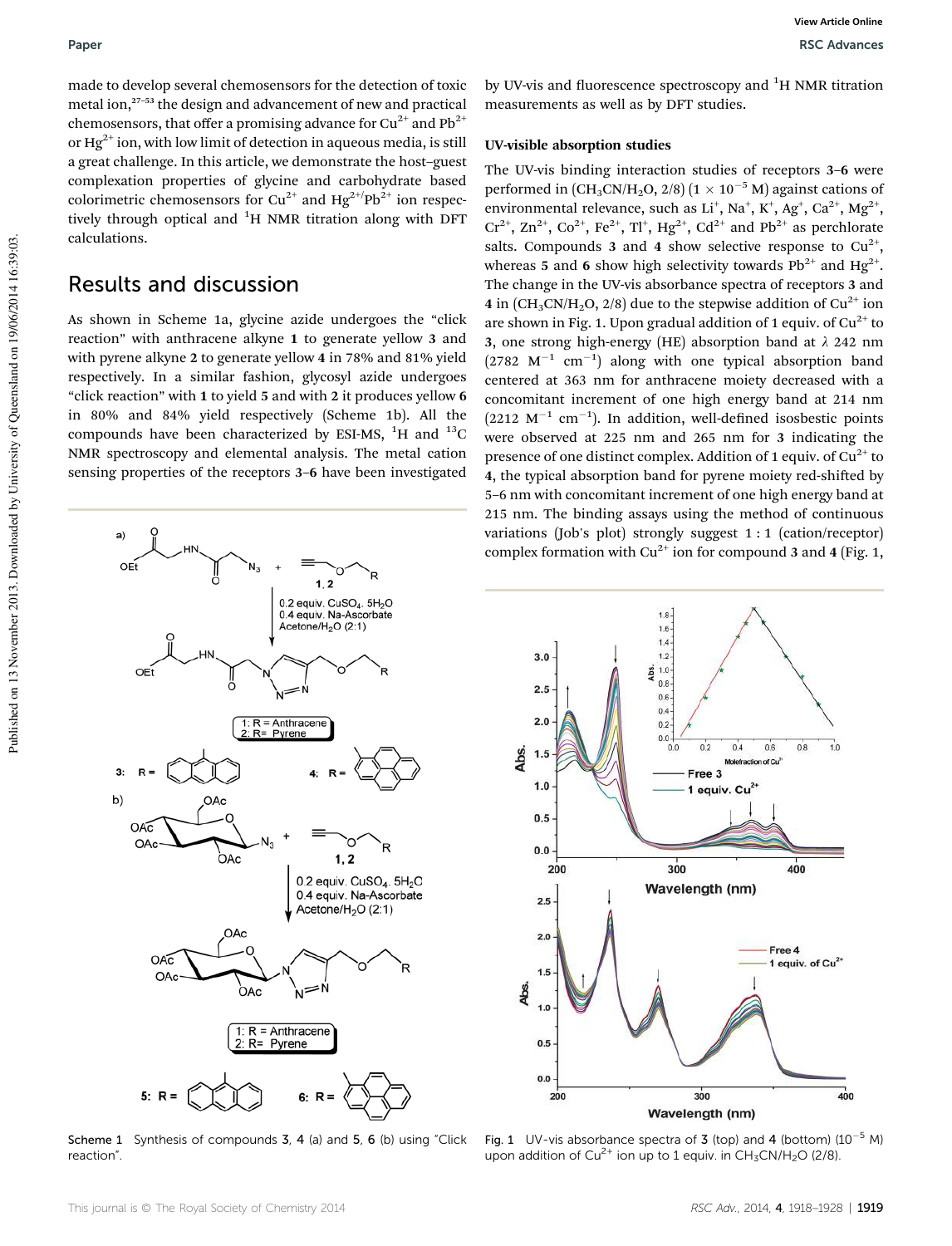made to develop several chemosensors for the detection of toxic metal ion,<sup>27–53</sup> the design and advancement of new and practical chemosensors, that offer a promising advance for  $Cu^{2+}$  and  $Pb^{2+}$ or  $Hg^{2+}$  ion, with low limit of detection in aqueous media, is still a great challenge. In this article, we demonstrate the host–guest complexation properties of glycine and carbohydrate based colorimetric chemosensors for Cu<sup>2+</sup> and Hg<sup>2+/</sup>Pb<sup>2+</sup> ion respectively through optical and  ${}^{1}H$  NMR titration along with DFT calculations.

## Results and discussion

As shown in Scheme 1a, glycine azide undergoes the "click reaction" with anthracene alkyne 1 to generate yellow 3 and with pyrene alkyne 2 to generate yellow 4 in 78% and 81% yield respectively. In a similar fashion, glycosyl azide undergoes "click reaction" with 1 to yield 5 and with 2 it produces yellow 6 in 80% and 84% yield respectively (Scheme 1b). All the compounds have been characterized by ESI-MS,  $^{1}$ H and  $^{13}$ C NMR spectroscopy and elemental analysis. The metal cation sensing properties of the receptors 3–6 have been investigated



Scheme 1 Synthesis of compounds 3, 4 (a) and 5, 6 (b) using "Click reaction".

by UV-vis and fluorescence spectroscopy and  ${}^{1}$ H NMR titration measurements as well as by DFT studies.

#### UV-visible absorption studies

The UV-vis binding interaction studies of receptors 3–6 were performed in  $\left[\text{CH}_3\text{CN/H}_2\text{O}, 2/8\right]$   $\left(1 \times 10^{-5} \text{ M}\right)$  against cations of environmental relevance, such as  $Li^+$ , Na<sup>+</sup>, K<sup>+</sup>, Ag<sup>+</sup>, Ca<sup>2+</sup>, Mg<sup>2+</sup>,  $Cr^{2+}$ ,  $Zn^{2+}$ ,  $Co^{2+}$ ,  $Fe^{2+}$ ,  $TI^+$ ,  $Hg^{2+}$ ,  $Cd^{2+}$  and  $Pb^{2+}$  as perchlorate salts. Compounds 3 and 4 show selective response to  $Cu^{2+}$ , whereas 5 and 6 show high selectivity towards Pb<sup>2+</sup> and Hg<sup>2+</sup>. The change in the UV-vis absorbance spectra of receptors 3 and 4 in  $\left(\text{CH}_3\text{CN}/\text{H}_2\text{O}, 2/8\right)$  due to the stepwise addition of Cu<sup>2+</sup> ion are shown in Fig. 1. Upon gradual addition of 1 equiv. of  $Cu^{2+}$  to 3, one strong high-energy (HE) absorption band at  $\lambda$  242 nm  $(2782 \text{ M}^{-1} \text{ cm}^{-1})$  along with one typical absorption band centered at 363 nm for anthracene moiety decreased with a concomitant increment of one high energy band at 214 nm  $(2212 \text{ M}^{-1} \text{ cm}^{-1})$ . In addition, well-defined isosbestic points were observed at 225 nm and 265 nm for 3 indicating the presence of one distinct complex. Addition of 1 equiv. of  $Cu<sup>2+</sup>$  to 4, the typical absorption band for pyrene moiety red-shifted by 5–6 nm with concomitant increment of one high energy band at 215 nm. The binding assays using the method of continuous variations (Job's plot) strongly suggest 1 : 1 (cation/receptor) complex formation with  $Cu^{2+}$  ion for compound 3 and 4 (Fig. 1,



Fig. 1 UV-vis absorbance spectra of 3 (top) and 4 (bottom)  $(10^{-5}$  M) upon addition of  $Cu^{2+}$  ion up to 1 equiv. in  $CH<sub>3</sub>CN/H<sub>2</sub>O$  (2/8).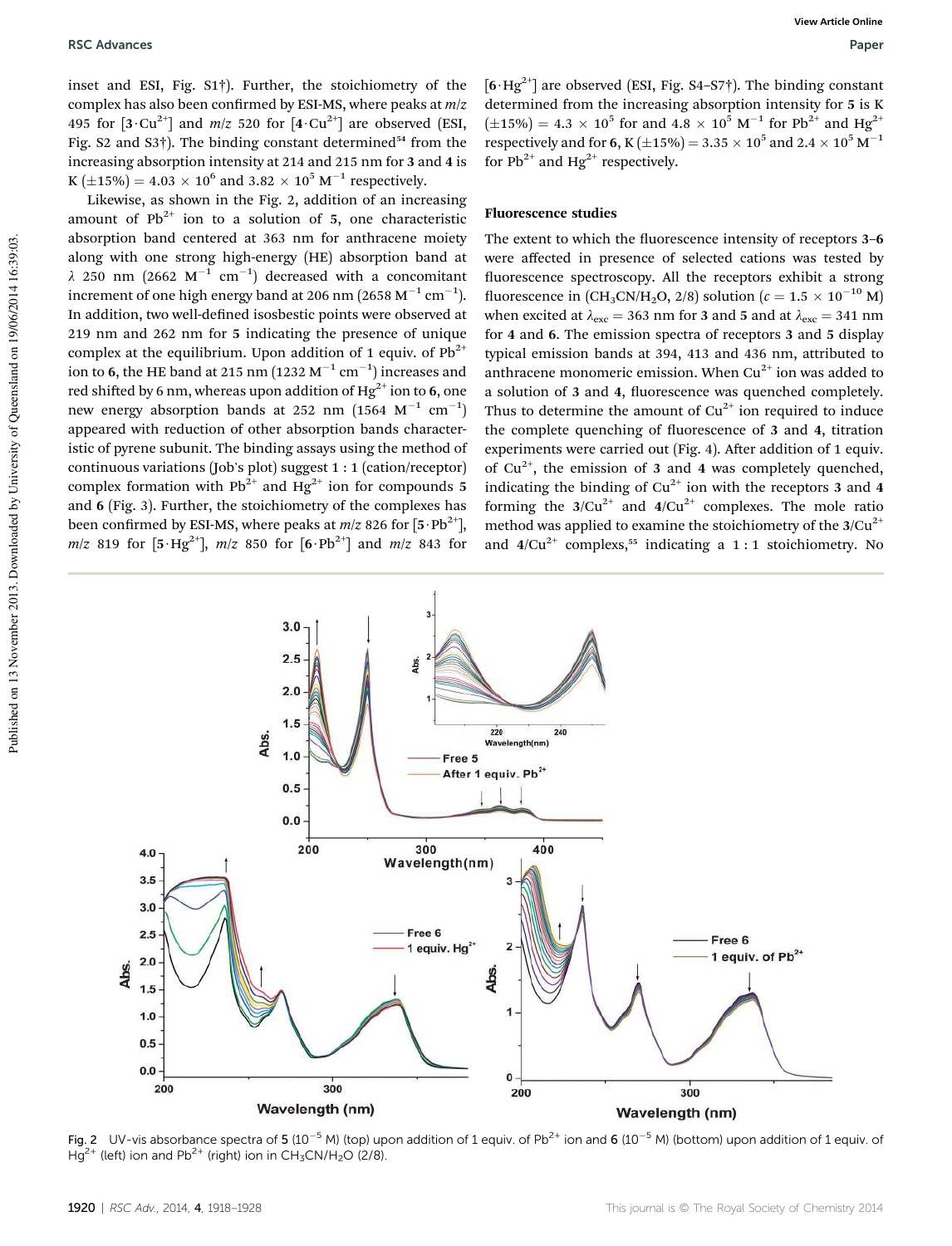inset and ESI, Fig. S1†). Further, the stoichiometry of the complex has also been confirmed by ESI-MS, where peaks at  $m/z$ 495 for  $[3 \cdot Cu^{2+}]$  and  $m/z$  520 for  $[4 \cdot Cu^{2+}]$  are observed (ESI, Fig. S2 and S3 $\dagger$ ). The binding constant determined<sup>54</sup> from the increasing absorption intensity at 214 and 215 nm for 3 and 4 is K  $(\pm 15\%) = 4.03 \times 10^6$  and  $3.82 \times 10^5$  M<sup>-1</sup> respectively.

Likewise, as shown in the Fig. 2, addition of an increasing amount of  $Pb^{2+}$  ion to a solution of 5, one characteristic absorption band centered at 363 nm for anthracene moiety along with one strong high-energy (HE) absorption band at  $\lambda$  250 nm (2662 M<sup>-1</sup> cm<sup>-1</sup>) decreased with a concomitant increment of one high energy band at 206 nm (2658  $\mathrm{M}^{-1}\,\mathrm{cm}^{-1}$ ). In addition, two well-defined isosbestic points were observed at 219 nm and 262 nm for 5 indicating the presence of unique complex at the equilibrium. Upon addition of 1 equiv. of  $Pb^{2+}$ ion to 6, the HE band at 215 nm  $(1232 \text{ M}^{-1} \text{ cm}^{-1})$  increases and red shifted by 6 nm, whereas upon addition of Hg<sup>2+</sup> ion to 6, one new energy absorption bands at 252 nm  $(1564 \text{ M}^{-1} \text{ cm}^{-1})$ appeared with reduction of other absorption bands characteristic of pyrene subunit. The binding assays using the method of continuous variations (Job's plot) suggest 1 : 1 (cation/receptor) complex formation with  $Pb^{2+}$  and Hg<sup>2+</sup> ion for compounds 5 and 6 (Fig. 3). Further, the stoichiometry of the complexes has been confirmed by ESI-MS, where peaks at  $m/z$  826 for  $[5 \cdot Pb^{2+}]$ , *m*/*z* 819 for  $[5 \cdot Hg^{2+}]$ , *m*/*z* 850 for  $[6 \cdot Pb^{2+}]$  and *m*/*z* 843 for  $[6 \cdot \text{Hg}^{2+}]$  are observed (ESI, Fig. S4–S7†). The binding constant determined from the increasing absorption intensity for 5 is K  $(\pm 15\%) = 4.3 \times 10^5$  for and  $4.8 \times 10^5$  M<sup>-1</sup> for Pb<sup>2+</sup> and Hg<sup>2+</sup> respectively and for 6, K  $(\pm 15\%)$  = 3.35  $\times$  10<sup>5</sup> and 2.4  $\times$  10<sup>5</sup> M<sup>-1</sup> for  $Pb^{2+}$  and Hg<sup>2+</sup> respectively.

#### Fluorescence studies

The extent to which the fluorescence intensity of receptors 3-6 were affected in presence of selected cations was tested by uorescence spectroscopy. All the receptors exhibit a strong fluorescence in (CH<sub>3</sub>CN/H<sub>2</sub>O, 2/8) solution ( $c = 1.5 \times 10^{-10}$  M) when excited at  $\lambda_{\text{exc}} = 363 \text{ nm}$  for 3 and 5 and at  $\lambda_{\text{exc}} = 341 \text{ nm}$ for 4 and 6. The emission spectra of receptors 3 and 5 display typical emission bands at 394, 413 and 436 nm, attributed to anthracene monomeric emission. When  $Cu^{2+}$  ion was added to a solution of 3 and 4, fluorescence was quenched completely. Thus to determine the amount of  $Cu^{2+}$  ion required to induce the complete quenching of fluorescence of 3 and 4, titration experiments were carried out (Fig. 4). After addition of 1 equiv. of  $Cu^{2+}$ , the emission of 3 and 4 was completely quenched, indicating the binding of  $Cu^{2+}$  ion with the receptors 3 and 4 forming the  $3/Cu^{2+}$  and  $4/Cu^{2+}$  complexes. The mole ratio method was applied to examine the stoichiometry of the  $3/Cu^{2+}$ and  $4/Cu^{2+}$  complexs,<sup>55</sup> indicating a 1 : 1 stoichiometry. No



Fig. 2 UV-vis absorbance spectra of 5 (10<sup>-5</sup> M) (top) upon addition of 1 equiv. of Pb<sup>2+</sup> ion and 6 (10<sup>-5</sup> M) (bottom) upon addition of 1 equiv. of  $Hq^{2+}$  (left) ion and Pb<sup>2+</sup> (right) ion in CH<sub>3</sub>CN/H<sub>2</sub>O (2/8).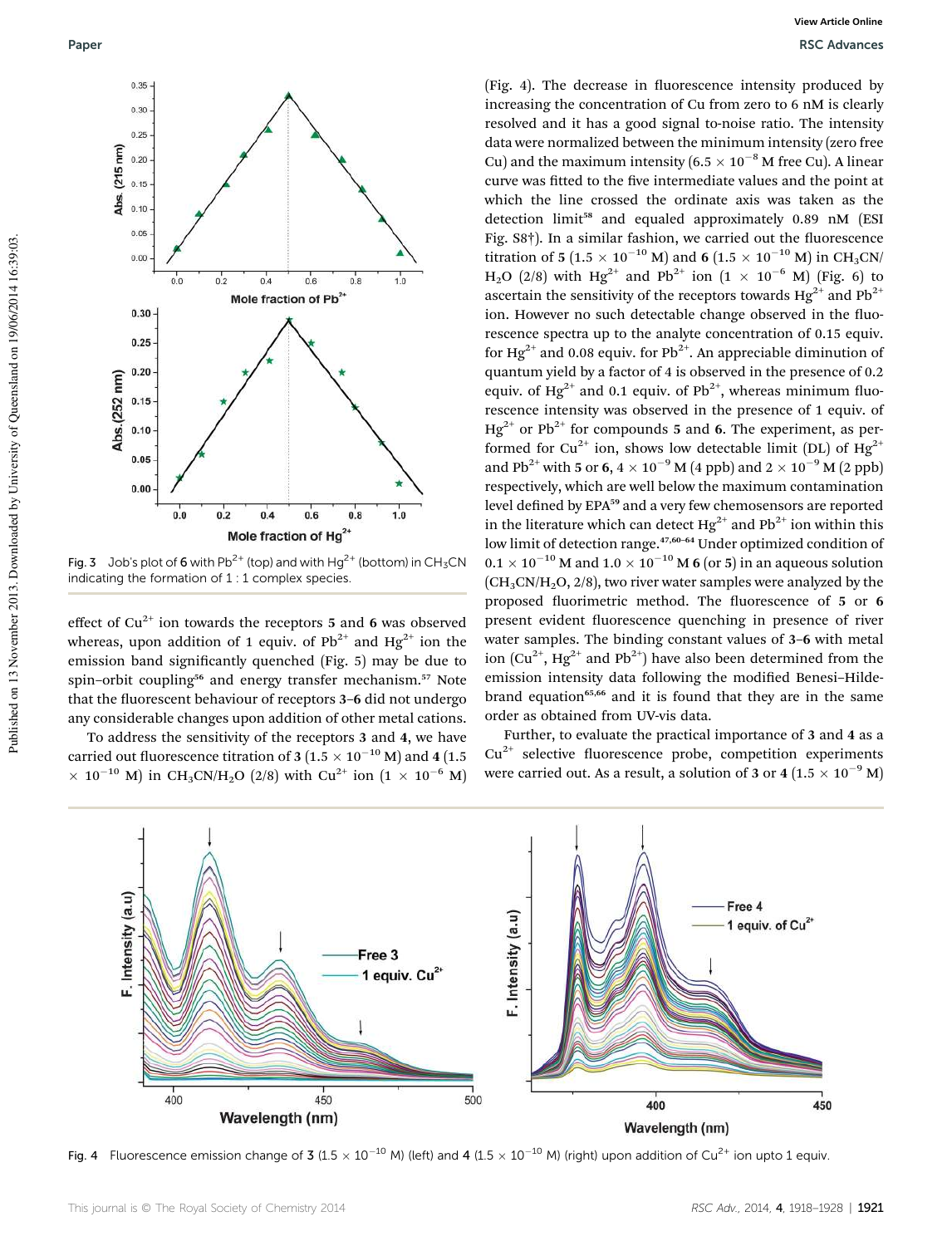

Fig. 3 Job's plot of 6 with Pb<sup>2+</sup> (top) and with Hg<sup>2+</sup> (bottom) in CH<sub>3</sub>CN indicating the formation of 1 : 1 complex species.

effect of  $Cu^{2+}$  ion towards the receptors 5 and 6 was observed whereas, upon addition of 1 equiv. of  $Pb^{2+}$  and  $Hg^{2+}$  ion the emission band significantly quenched (Fig. 5) may be due to spin–orbit coupling<sup>56</sup> and energy transfer mechanism.<sup>57</sup> Note that the fluorescent behaviour of receptors 3-6 did not undergo any considerable changes upon addition of other metal cations.

To address the sensitivity of the receptors 3 and 4, we have carried out fluorescence titration of 3 (1.5  $\times$   $10^{-10}$  M) and 4 (1.5  $\times$  10<sup>-10</sup> M) in CH<sub>3</sub>CN/H<sub>2</sub>O (2/8) with Cu<sup>2+</sup> ion (1  $\times$  10<sup>-6</sup> M)

(Fig. 4). The decrease in fluorescence intensity produced by increasing the concentration of Cu from zero to 6 nM is clearly resolved and it has a good signal to-noise ratio. The intensity data were normalized between the minimum intensity (zero free Cu) and the maximum intensity (6.5  $\times$  10<sup>-8</sup> M free Cu). A linear curve was fitted to the five intermediate values and the point at which the line crossed the ordinate axis was taken as the detection limit<sup>58</sup> and equaled approximately 0.89 nM (ESI Fig. S8†). In a similar fashion, we carried out the fluorescence titration of 5 (1.5  $\times$  10<sup>-10</sup> M) and 6 (1.5  $\times$  10<sup>-10</sup> M) in CH<sub>3</sub>CN/ H<sub>2</sub>O (2/8) with Hg<sup>2+</sup> and Pb<sup>2+</sup> ion (1  $\times$  10<sup>-6</sup> M) (Fig. 6) to ascertain the sensitivity of the receptors towards  $Hg^{2+}$  and  $Pb^{2+}$ ion. However no such detectable change observed in the fluorescence spectra up to the analyte concentration of 0.15 equiv. for Hg<sup>2+</sup> and 0.08 equiv. for Pb<sup>2+</sup>. An appreciable diminution of quantum yield by a factor of 4 is observed in the presence of 0.2 equiv. of  $Hg^{2+}$  and 0.1 equiv. of Pb<sup>2+</sup>, whereas minimum fluorescence intensity was observed in the presence of 1 equiv. of  $Hg^{2+}$  or Pb<sup>2+</sup> for compounds 5 and 6. The experiment, as performed for Cu<sup>2+</sup> ion, shows low detectable limit (DL) of Hg<sup>2+</sup> and Pb<sup>2+</sup> with 5 or 6,  $4 \times 10^{-9}$  M (4 ppb) and  $2 \times 10^{-9}$  M (2 ppb) respectively, which are well below the maximum contamination level defined by EPA<sup>59</sup> and a very few chemosensors are reported in the literature which can detect  $Hg^{2+}$  and  $Pb^{2+}$  ion within this low limit of detection range.<sup>47,60–64</sup> Under optimized condition of  $0.1 \times 10^{-10}$  M and  $1.0 \times 10^{-10}$  M 6 (or 5) in an aqueous solution  $(CH<sub>3</sub>CN/H<sub>2</sub>O, 2/8)$ , two river water samples were analyzed by the proposed fluorimetric method. The fluorescence of 5 or 6 present evident fluorescence quenching in presence of river water samples. The binding constant values of 3–6 with metal ion  $(Cu^{2+}, Hg^{2+}$  and Pb<sup>2+</sup>) have also been determined from the emission intensity data following the modified Benesi-Hildebrand equation<sup>65,66</sup> and it is found that they are in the same order as obtained from UV-vis data.

Further, to evaluate the practical importance of 3 and 4 as a  $Cu<sup>2+</sup>$  selective fluorescence probe, competition experiments were carried out. As a result, a solution of 3 or 4 (1.5  $\times$  10<sup>-9</sup> M)



Fig. 4 Fluorescence emission change of 3 (1.5  $\times$  10<sup>-10</sup> M) (left) and 4 (1.5  $\times$  10<sup>-10</sup> M) (right) upon addition of Cu<sup>2+</sup> ion upto 1 equiv.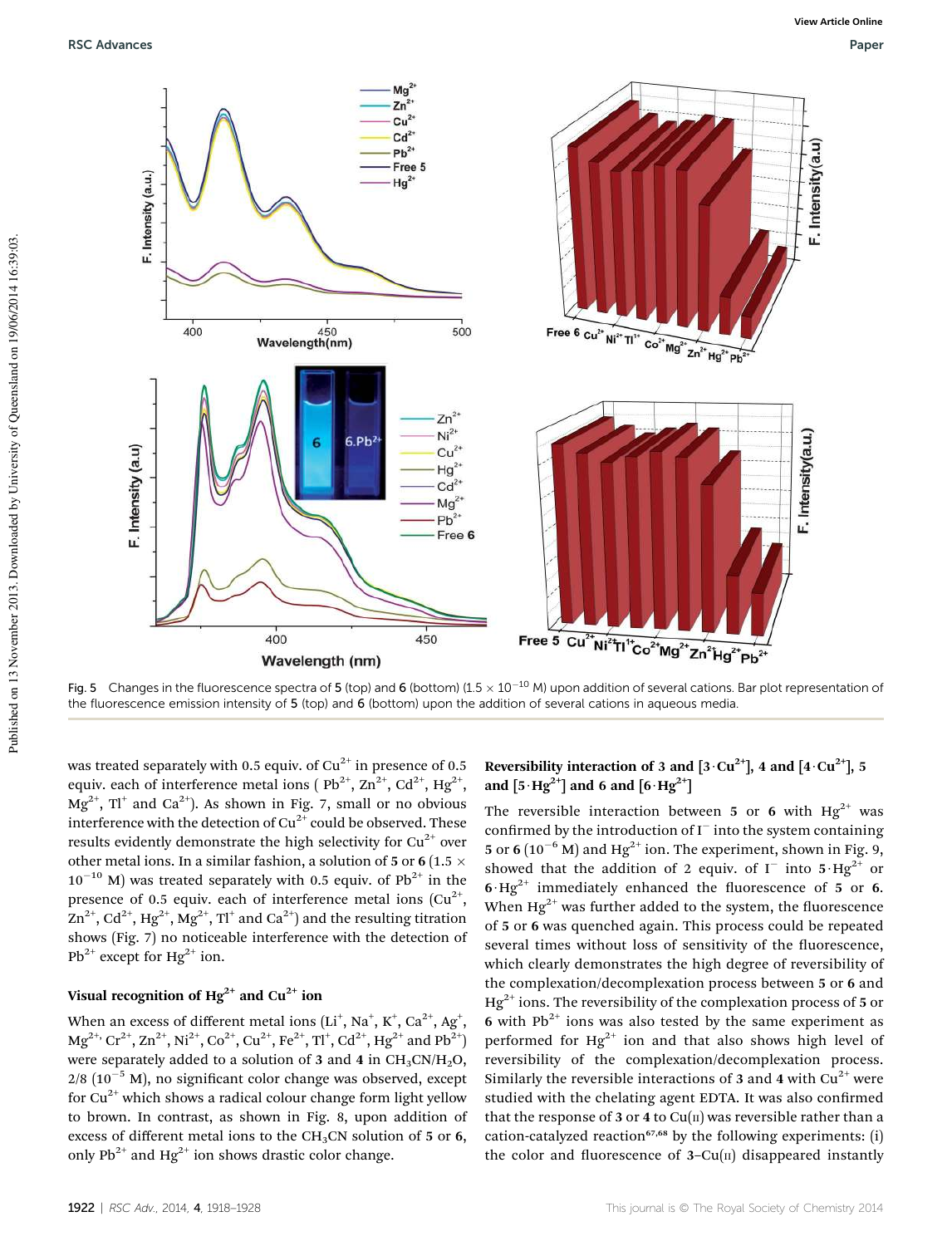

Fig. 5 Changes in the fluorescence spectra of 5 (top) and 6 (bottom) (1.5  $\times$  10<sup>-10</sup> M) upon addition of several cations. Bar plot representation of the fluorescence emission intensity of 5 (top) and 6 (bottom) upon the addition of several cations in aqueous media.

was treated separately with 0.5 equiv. of  $Cu^{2+}$  in presence of 0.5 equiv. each of interference metal ions (  $Pb^{2+}$ ,  $Zn^{2+}$ ,  $Cd^{2+}$ ,  $Hg^{2+}$ ,  $Mg^{2+}$ , Tl $^+$  and Ca $^{2+}$ ). As shown in Fig. 7, small or no obvious interference with the detection of  $Cu^{2+}$  could be observed. These results evidently demonstrate the high selectivity for  $Cu^{2+}$  over other metal ions. In a similar fashion, a solution of 5 or 6 (1.5  $\times$  $10^{-10}$  M) was treated separately with 0.5 equiv. of Pb<sup>2+</sup> in the presence of 0.5 equiv. each of interference metal ions  $(Cu^{2+},$  $\rm Zn^{2+}, \rm Cd^{2+}, \rm Hg^{2+}, \rm Mg^{2+}, \rm Tl^{+}$  and  $\rm Ca^{2+})$  and the resulting titration shows (Fig. 7) no noticeable interference with the detection of  $Pb^{2+}$  except for Hg<sup>2+</sup> ion.

#### Visual recognition of  $Hg^{2+}$  and  $Cu^{2+}$  ion

When an excess of different metal ions  $(\rm Li^+, \rm Na^+, \rm K^+, \rm Ca^{2+}, \rm Ag^+,$  ${\rm Mg}^{2+}{\rm,~Cr}^{2+}{\rm,~Zn}^{2+}{\rm,~Ni}^{2+}{\rm,~Co}^{2+}{\rm,~Cu}^{2+}{\rm,~Fe}^{2+}{\rm,~TI}^{\rm +}{\rm,~Cd}^{2+}{\rm,~Hg}^{2+}{\rm~and~Pb}^{2+}{\rm)}$ were separately added to a solution of 3 and 4 in  $CH_3CN/H_2O$ ,  $2/8$  (10<sup>-5</sup> M), no significant color change was observed, except for  $Cu^{2+}$  which shows a radical colour change form light yellow to brown. In contrast, as shown in Fig. 8, upon addition of excess of different metal ions to the CH<sub>3</sub>CN solution of 5 or 6, only  $Pb^{2+}$  and Hg<sup>2+</sup> ion shows drastic color change.

#### Reversibility interaction of 3 and  $[3 \cdot Cu^{2+}]$ , 4 and  $[4 \cdot Cu^{2+}]$ , 5 and  $[5 \cdot Hg^{2+}]$  and 6 and  $[6 \cdot Hg^{2+}]$

The reversible interaction between 5 or 6 with  $Hg^{2+}$  was confirmed by the introduction of  $I^-$  into the system containing 5 or 6 ( $10^{-6}$  M) and Hg<sup>2+</sup> ion. The experiment, shown in Fig. 9, showed that the addition of 2 equiv. of  $I^-$  into  $5 \cdot Hg^{2+}$  or  $6·Hg<sup>2+</sup>$  immediately enhanced the fluorescence of 5 or 6. When  $Hg^{2+}$  was further added to the system, the fluorescence of 5 or 6 was quenched again. This process could be repeated several times without loss of sensitivity of the fluorescence, which clearly demonstrates the high degree of reversibility of the complexation/decomplexation process between 5 or 6 and  $Hg^{2+}$  ions. The reversibility of the complexation process of 5 or 6 with  $Pb^{2+}$  ions was also tested by the same experiment as performed for  $Hg^{2+}$  ion and that also shows high level of reversibility of the complexation/decomplexation process. Similarly the reversible interactions of 3 and 4 with  $Cu^{2+}$  were studied with the chelating agent EDTA. It was also confirmed that the response of 3 or 4 to  $Cu(II)$  was reversible rather than a cation-catalyzed reaction<sup>67,68</sup> by the following experiments: (i) the color and fluorescence of  $3-Cu(n)$  disappeared instantly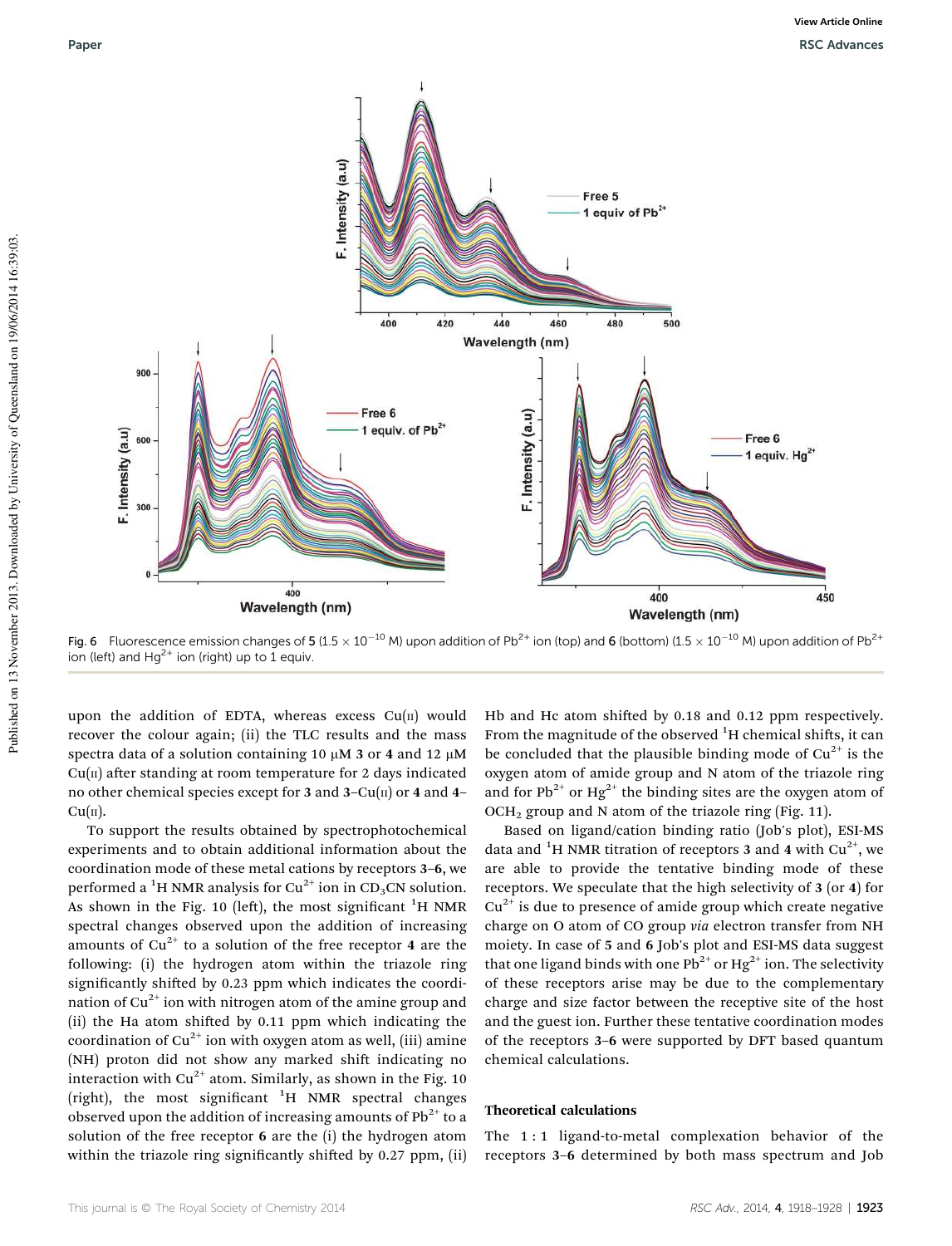

Fig. 6 Fluorescence emission changes of 5 (1.5  $\times$  10<sup>-10</sup> M) upon addition of Pb<sup>2+</sup> ion (top) and 6 (bottom) (1.5  $\times$  10<sup>-10</sup> M) upon addition of Pb<sup>2+</sup> ion (left) and  $Hq^{2+}$  ion (right) up to 1 equiv.

upon the addition of EDTA, whereas excess  $Cu(II)$  would recover the colour again; (ii) the TLC results and the mass spectra data of a solution containing 10  $\mu$ M 3 or 4 and 12  $\mu$ M  $Cu(II)$  after standing at room temperature for 2 days indicated no other chemical species except for 3 and 3– $Cu(n)$  or 4 and 4–  $Cu(<sub>II</sub>)$ .

To support the results obtained by spectrophotochemical experiments and to obtain additional information about the coordination mode of these metal cations by receptors 3–6, we performed a <sup>1</sup>H NMR analysis for Cu<sup>2+</sup> ion in CD<sub>3</sub>CN solution. As shown in the Fig. 10 (left), the most significant  ${}^{1}H$  NMR spectral changes observed upon the addition of increasing amounts of  $Cu^{2+}$  to a solution of the free receptor 4 are the following: (i) the hydrogen atom within the triazole ring significantly shifted by 0.23 ppm which indicates the coordination of  $Cu^{2+}$  ion with nitrogen atom of the amine group and (ii) the Ha atom shifted by  $0.11$  ppm which indicating the coordination of  $Cu^{2+}$  ion with oxygen atom as well, (iii) amine (NH) proton did not show any marked shift indicating no interaction with  $Cu^{2+}$  atom. Similarly, as shown in the Fig. 10 (right), the most significant  ${}^{1}H$  NMR spectral changes observed upon the addition of increasing amounts of  $Pb^{2+}$  to a solution of the free receptor 6 are the (i) the hydrogen atom within the triazole ring significantly shifted by 0.27 ppm, (ii)

Hb and Hc atom shifted by  $0.18$  and  $0.12$  ppm respectively. From the magnitude of the observed  ${}^{1}$ H chemical shifts, it can be concluded that the plausible binding mode of  $Cu^{2+}$  is the oxygen atom of amide group and N atom of the triazole ring and for Pb<sup>2+</sup> or Hg<sup>2+</sup> the binding sites are the oxygen atom of  $OCH<sub>2</sub>$  group and N atom of the triazole ring (Fig. 11).

Based on ligand/cation binding ratio (Job's plot), ESI-MS data and <sup>1</sup>H NMR titration of receptors 3 and 4 with  $Cu^{2+}$ , we are able to provide the tentative binding mode of these receptors. We speculate that the high selectivity of 3 (or 4) for  $Cu<sup>2+</sup>$  is due to presence of amide group which create negative charge on O atom of CO group *via* electron transfer from NH moiety. In case of 5 and 6 Job's plot and ESI-MS data suggest that one ligand binds with one  $Pb^{2+}$  or Hg<sup>2+</sup> ion. The selectivity of these receptors arise may be due to the complementary charge and size factor between the receptive site of the host and the guest ion. Further these tentative coordination modes of the receptors 3–6 were supported by DFT based quantum chemical calculations.

#### Theoretical calculations

The 1 : 1 ligand-to-metal complexation behavior of the receptors 3–6 determined by both mass spectrum and Job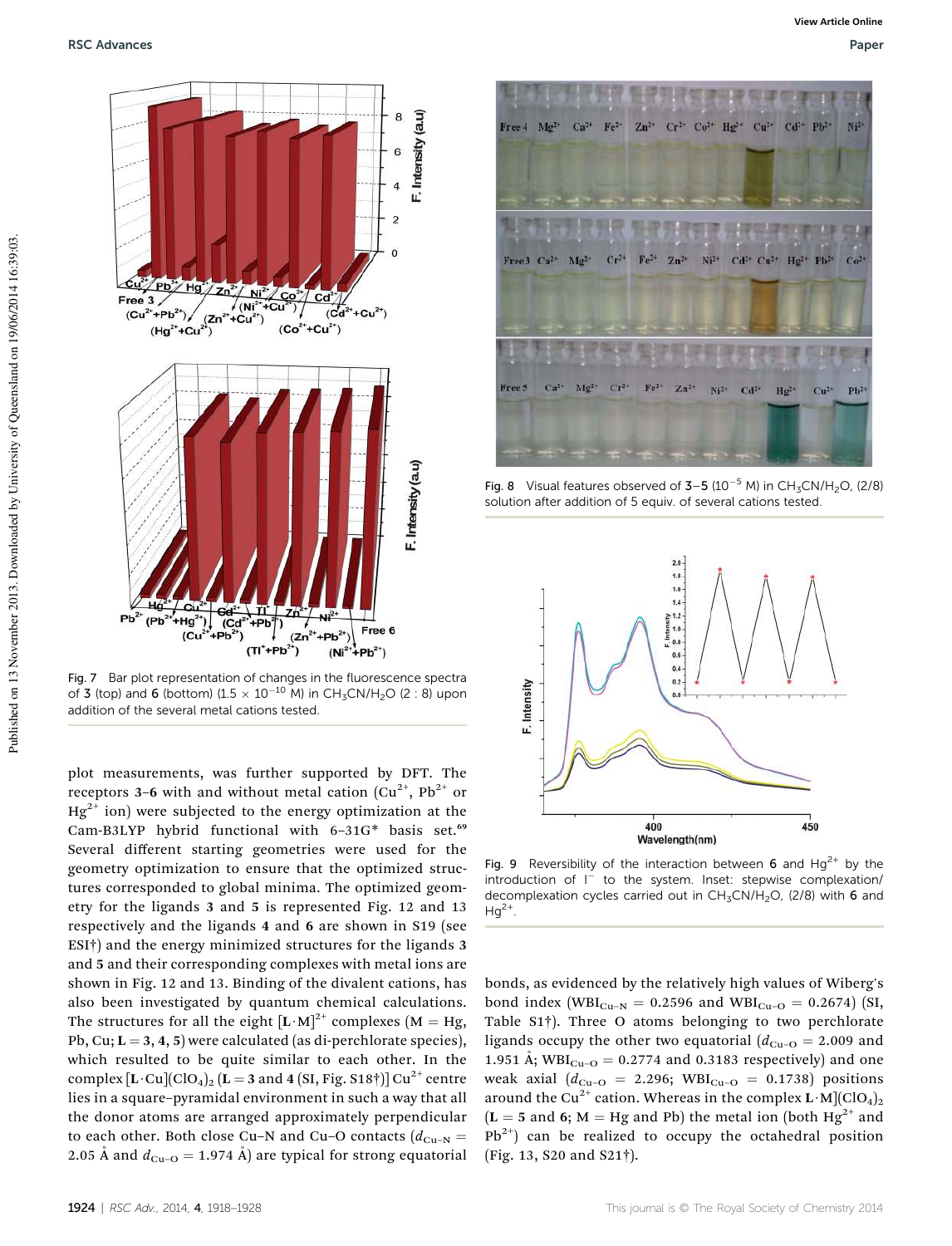

Fig. 7 Bar plot representation of changes in the fluorescence spectra of 3 (top) and 6 (bottom) (1.5  $\times$  10<sup>-10</sup> M) in CH<sub>3</sub>CN/H<sub>2</sub>O (2 : 8) upon addition of the several metal cations tested.

plot measurements, was further supported by DFT. The receptors 3–6 with and without metal cation  $(Cu^{2+}, Pb^{2+}$  or  $Hg^{2+}$  ion) were subjected to the energy optimization at the Cam-B3LYP hybrid functional with 6-31G\* basis set.<sup>69</sup> Several different starting geometries were used for the geometry optimization to ensure that the optimized structures corresponded to global minima. The optimized geometry for the ligands 3 and 5 is represented Fig. 12 and 13 respectively and the ligands 4 and 6 are shown in S19 (see ESI†) and the energy minimized structures for the ligands 3 and 5 and their corresponding complexes with metal ions are shown in Fig. 12 and 13. Binding of the divalent cations, has also been investigated by quantum chemical calculations. The structures for all the eight  $[L \cdot M]^{2+}$  complexes (M = Hg, Pb, Cu;  $L = 3, 4, 5$ ) were calculated (as di-perchlorate species), which resulted to be quite similar to each other. In the complex  $[L \cdot \text{Cu}](\text{ClO}_4)_2$  (L = 3 and 4 (SI, Fig. S18†)] Cu<sup>2+</sup> centre lies in a square–pyramidal environment in such a way that all the donor atoms are arranged approximately perpendicular to each other. Both close Cu–N and Cu–O contacts ( $d_{\text{Cu-N}}$  = 2.05 Å and  $d_{Cu-O} = 1.974$  Å) are typical for strong equatorial



Fig. 8 Visual features observed of  $3-5$  (10<sup>-5</sup> M) in CH<sub>3</sub>CN/H<sub>2</sub>O, (2/8) solution after addition of 5 equiv. of several cations tested.



Fig. 9 Reversibility of the interaction between 6 and  $Hg^{2+}$  by the introduction of I<sup>-</sup> to the system. Inset: stepwise complexation/ decomplexation cycles carried out in  $CH<sub>3</sub>CN/H<sub>2</sub>O$ , (2/8) with 6 and  $Hg^{2+}$ .

bonds, as evidenced by the relatively high values of Wiberg's bond index (WBI<sub>Cu–N</sub> = 0.2596 and WBI<sub>Cu–O</sub> = 0.2674) (SI, Table S1†). Three O atoms belonging to two perchlorate ligands occupy the other two equatorial  $(d_{Cu-O} = 2.009$  and 1.951 Å;  $WBI_{Cu-O} = 0.2774$  and 0.3183 respectively) and one weak axial ( $d_{Cu-O} = 2.296$ ; WBI<sub>Cu-O</sub> = 0.1738) positions around the Cu<sup>2+</sup> cation. Whereas in the complex  $\mathbf{L} \cdot \mathbf{M}$ ](ClO<sub>4</sub>)<sub>2</sub>  $(L = 5$  and 6; M = Hg and Pb) the metal ion (both Hg<sup>2+</sup> and  $Pb^{2+}$ ) can be realized to occupy the octahedral position (Fig. 13, S20 and S21†).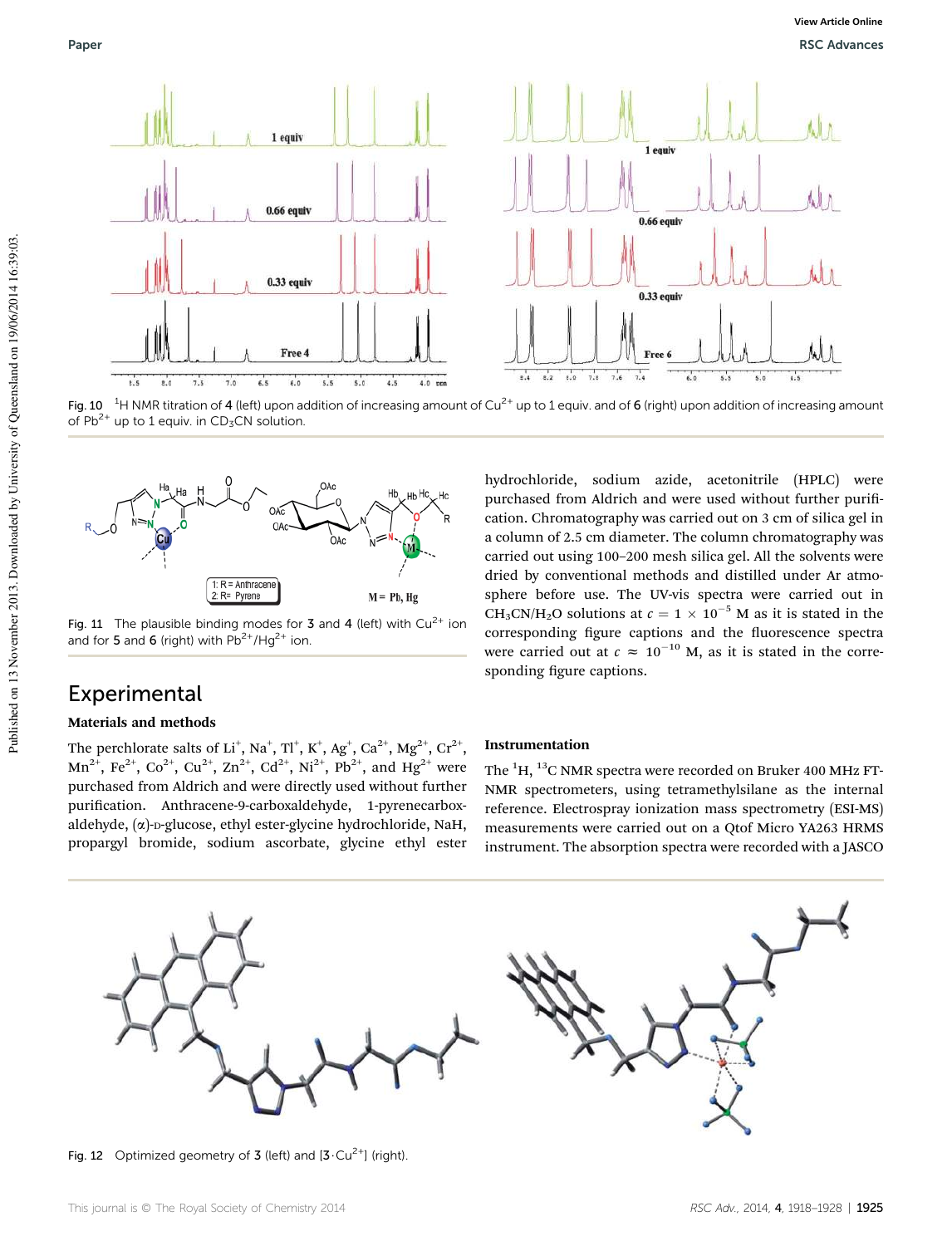

Fig. 10 <sup>1</sup>H NMR titration of 4 (left) upon addition of increasing amount of Cu<sup>2+</sup> up to 1 equiv. and of 6 (right) upon addition of increasing amount of  $Pb^{2+}$  up to 1 equiv. in CD<sub>3</sub>CN solution.



Fig. 11 The plausible binding modes for 3 and 4 (left) with  $Cu^{2+}$  ion and for 5 and 6 (right) with  $Pb^{2+}/Hq^{2+}$  ion.

## Experimental

#### Materials and methods

The perchlorate salts of Li $^+$ , Na $^+$ , Tl $^+$ , K $^+$ , Ag $^+$ , Ca $^{2+}$ , Mg $^{2+}$ , Cr $^{2+}$ ,  $Mn^{2+}$ , Fe<sup>2+</sup>, Co<sup>2+</sup>, Cu<sup>2+</sup>, Zn<sup>2+</sup>, Cd<sup>2+</sup>, Ni<sup>2+</sup>, Pb<sup>2+</sup>, and Hg<sup>2+</sup> were purchased from Aldrich and were directly used without further purification. Anthracene-9-carboxaldehyde, 1-pyrenecarboxaldehyde,  $(\alpha)$ -D-glucose, ethyl ester-glycine hydrochloride, NaH, propargyl bromide, sodium ascorbate, glycine ethyl ester hydrochloride, sodium azide, acetonitrile (HPLC) were purchased from Aldrich and were used without further purification. Chromatography was carried out on 3 cm of silica gel in a column of 2.5 cm diameter. The column chromatography was carried out using 100–200 mesh silica gel. All the solvents were dried by conventional methods and distilled under Ar atmosphere before use. The UV-vis spectra were carried out in CH<sub>3</sub>CN/H<sub>2</sub>O solutions at  $c = 1 \times 10^{-5}$  M as it is stated in the corresponding figure captions and the fluorescence spectra were carried out at  $c \approx 10^{-10}$  M, as it is stated in the corresponding figure captions.

#### Instrumentation

The  ${}^{1}$ H,  ${}^{13}$ C NMR spectra were recorded on Bruker 400 MHz FT-NMR spectrometers, using tetramethylsilane as the internal reference. Electrospray ionization mass spectrometry (ESI-MS) measurements were carried out on a Qtof Micro YA263 HRMS instrument. The absorption spectra were recorded with a JASCO



Fig. 12 Optimized geometry of 3 (left) and  $[3 \cdot Cu^{2+}]$  (right).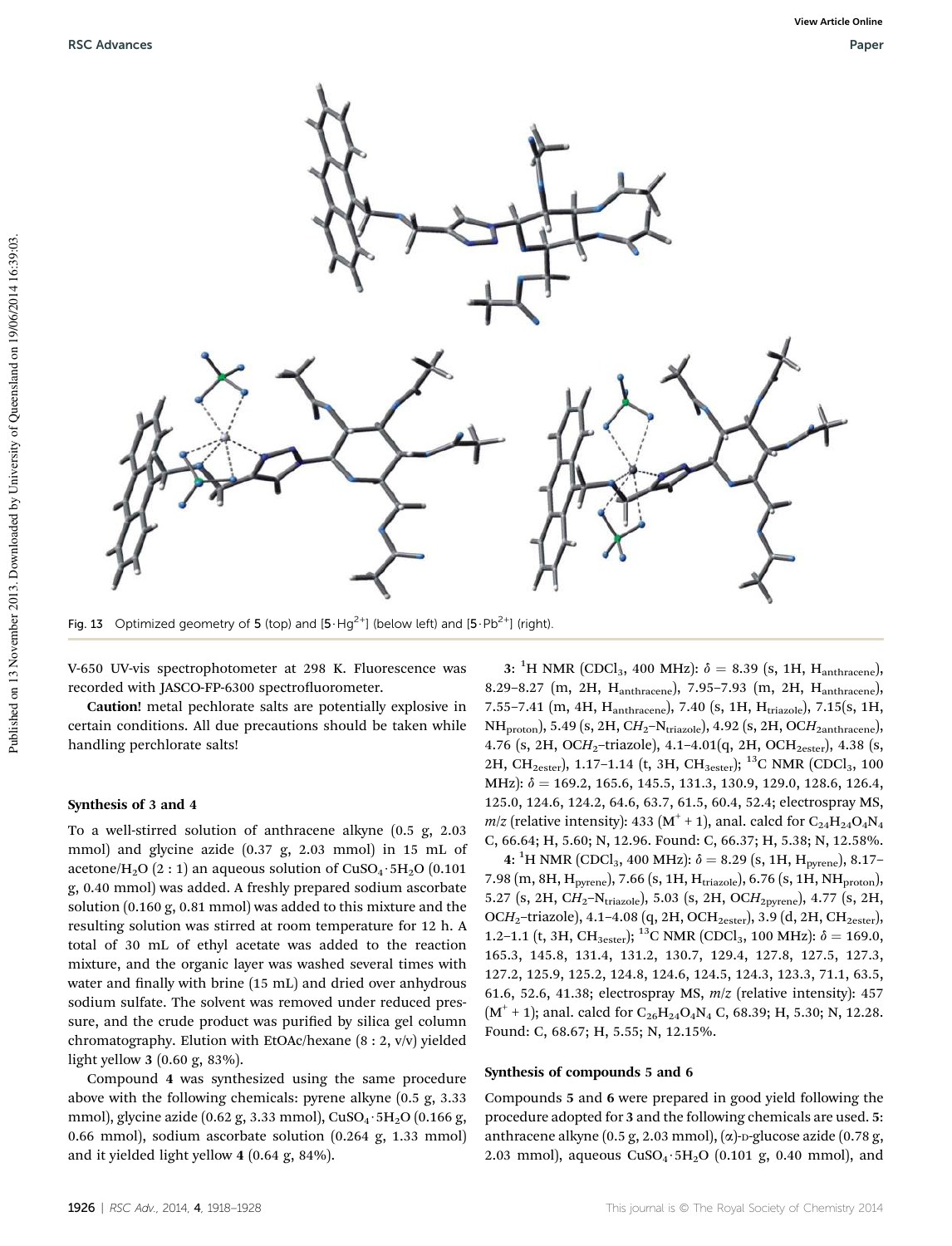

Fig. 13 Optimized geometry of 5 (top) and  $[5 \cdot Hg^{2+}]$  (below left) and  $[5 \cdot Pb^{2+}]$  (right).

V-650 UV-vis spectrophotometer at 298 K. Fluorescence was recorded with JASCO-FP-6300 spectrofluorometer.

Caution! metal pechlorate salts are potentially explosive in certain conditions. All due precautions should be taken while handling perchlorate salts!

#### Synthesis of 3 and 4

To a well-stirred solution of anthracene alkyne (0.5 g, 2.03 mmol) and glycine azide (0.37 g, 2.03 mmol) in 15 mL of acetone/H<sub>2</sub>O (2 : 1) an aqueous solution of CuSO<sub>4</sub> · 5H<sub>2</sub>O (0.101) g, 0.40 mmol) was added. A freshly prepared sodium ascorbate solution (0.160 g, 0.81 mmol) was added to this mixture and the resulting solution was stirred at room temperature for 12 h. A total of 30 mL of ethyl acetate was added to the reaction mixture, and the organic layer was washed several times with water and finally with brine (15 mL) and dried over anhydrous sodium sulfate. The solvent was removed under reduced pressure, and the crude product was purified by silica gel column chromatography. Elution with EtOAc/hexane (8 : 2, v/v) yielded light yellow 3 (0.60 g, 83%).

Compound 4 was synthesized using the same procedure above with the following chemicals: pyrene alkyne (0.5 g, 3.33 mmol), glycine azide (0.62 g, 3.33 mmol),  $CuSO_4 \cdot 5H_2O$  (0.166 g, 0.66 mmol), sodium ascorbate solution (0.264 g, 1.33 mmol) and it yielded light yellow 4 (0.64 g, 84%).

3: <sup>1</sup>H NMR (CDCl<sub>3</sub>, 400 MHz):  $\delta = 8.39$  (s, 1H, H<sub>anthracene</sub>), 8.29–8.27 (m, 2H, Hanthracene), 7.95–7.93 (m, 2H, Hanthracene), 7.55-7.41 (m, 4H, Hanthracene), 7.40 (s, 1H, Htriazole), 7.15(s, 1H, NH<sub>proton</sub>), 5.49 (s, 2H, CH<sub>2</sub>–N<sub>triazole</sub>), 4.92 (s, 2H, OCH<sub>2anthracene</sub>), 4.76 (s, 2H, OCH<sub>2</sub>-triazole), 4.1-4.01(q, 2H, OCH<sub>2ester</sub>), 4.38 (s, 2H, CH<sub>2ester</sub>), 1.17-1.14 (t, 3H, CH<sub>3ester</sub>); <sup>13</sup>C NMR (CDCl<sub>3</sub>, 100 MHz):  $\delta = 169.2, 165.6, 145.5, 131.3, 130.9, 129.0, 128.6, 126.4,$ 125.0, 124.6, 124.2, 64.6, 63.7, 61.5, 60.4, 52.4; electrospray MS,  $m/z$  (relative intensity): 433 (M<sup>+</sup> + 1), anal. calcd for  $C_{24}H_{24}O_4N_4$ C, 66.64; H, 5.60; N, 12.96. Found: C, 66.37; H, 5.38; N, 12.58%.

4: <sup>1</sup>H NMR (CDCl<sub>3</sub>, 400 MHz):  $\delta = 8.29$  (s, 1H, H<sub>pyrene</sub>), 8.17-7.98 (m, 8H, H<sub>pyrene</sub>), 7.66 (s, 1H, H<sub>triazole</sub>), 6.76 (s, 1H, NH<sub>proton</sub>), 5.27 (s, 2H, CH<sub>2</sub>–N<sub>triazole</sub>), 5.03 (s, 2H, OCH<sub>2pyrene</sub>), 4.77 (s, 2H, OCH<sub>2</sub>-triazole), 4.1-4.08 (q, 2H, OCH<sub>2ester</sub>), 3.9 (d, 2H, CH<sub>2ester</sub>), 1.2–1.1 (t, 3H, CH<sub>3ester</sub>); <sup>13</sup>C NMR (CDCl<sub>3</sub>, 100 MHz):  $\delta = 169.0$ , 165.3, 145.8, 131.4, 131.2, 130.7, 129.4, 127.8, 127.5, 127.3, 127.2, 125.9, 125.2, 124.8, 124.6, 124.5, 124.3, 123.3, 71.1, 63.5, 61.6, 52.6, 41.38; electrospray MS, *m*/*z* (relative intensity): 457  $(M<sup>+</sup> + 1)$ ; anal. calcd for C<sub>26</sub>H<sub>24</sub>O<sub>4</sub>N<sub>4</sub> C, 68.39; H, 5.30; N, 12.28. Found: C, 68.67; H, 5.55; N, 12.15%.

#### Synthesis of compounds 5 and 6

Compounds 5 and 6 were prepared in good yield following the procedure adopted for 3 and the following chemicals are used. 5: anthracene alkyne (0.5 g, 2.03 mmol),  $(\alpha)$ -p-glucose azide (0.78 g, 2.03 mmol), aqueous  $CuSO_4·5H_2O$  (0.101 g, 0.40 mmol), and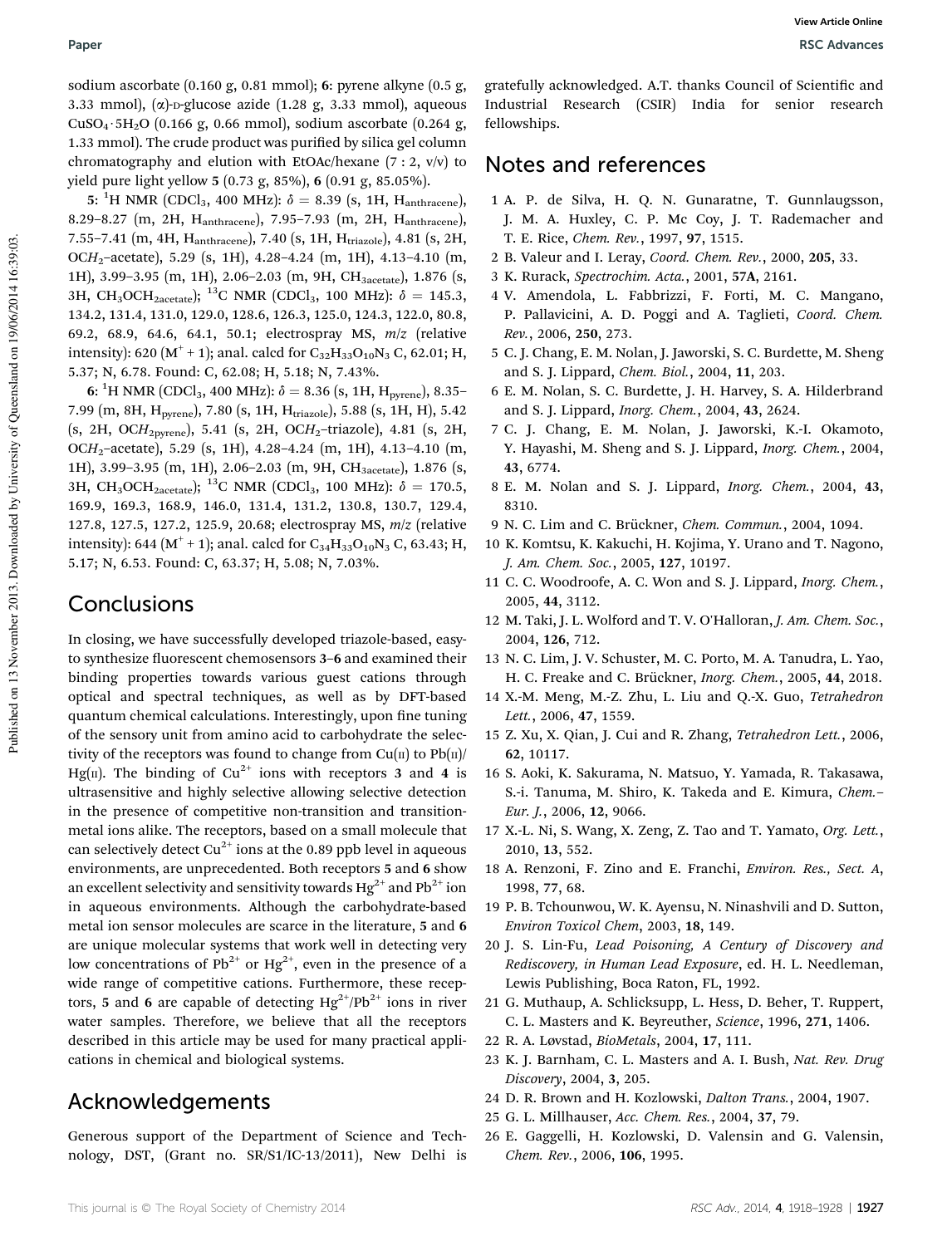sodium ascorbate (0.160 g, 0.81 mmol); 6: pyrene alkyne (0.5 g, 3.33 mmol),  $(\alpha)$ -p-glucose azide (1.28 g, 3.33 mmol), aqueous  $CuSO<sub>4</sub>·5H<sub>2</sub>O$  (0.166 g, 0.66 mmol), sodium ascorbate (0.264 g, 1.33 mmol). The crude product was purified by silica gel column chromatography and elution with EtOAc/hexane (7 : 2, v/v) to yield pure light yellow 5 (0.73 g, 85%), 6 (0.91 g, 85.05%).

5: <sup>1</sup>H NMR (CDCl<sub>3</sub>, 400 MHz):  $\delta = 8.39$  (s, 1H, H<sub>anthracene</sub>), 8.29–8.27 (m, 2H, Hanthracene), 7.95–7.93 (m, 2H, Hanthracene), 7.55-7.41 (m, 4H, H<sub>anthracene</sub>), 7.40 (s, 1H, H<sub>triazole</sub>), 4.81 (s, 2H, OC*H*2–acetate), 5.29 (s, 1H), 4.28–4.24 (m, 1H), 4.13–4.10 (m, 1H), 3.99-3.95 (m, 1H), 2.06-2.03 (m, 9H, CH<sub>3acetate</sub>), 1.876 (s, 3H, CH<sub>3</sub>OCH<sub>2acetate</sub>); <sup>13</sup>C NMR (CDCl<sub>3</sub>, 100 MHz):  $\delta = 145.3$ , 134.2, 131.4, 131.0, 129.0, 128.6, 126.3, 125.0, 124.3, 122.0, 80.8, 69.2, 68.9, 64.6, 64.1, 50.1; electrospray MS, *m*/*z* (relative intensity): 620 (M<sup>+</sup> + 1); anal. calcd for  $C_{32}H_{33}O_{10}N_3$  C, 62.01; H, 5.37; N, 6.78. Found: C, 62.08; H, 5.18; N, 7.43%.

6:  $^1\text{H NMR}$  (CDCl<sub>3</sub>, 400 MHz):  $\delta = 8.36$  (s, 1H, H<sub>pyrene</sub>), 8.35– 7.99 (m, 8H, H<sub>pyrene</sub>), 7.80 (s, 1H, H<sub>triazole</sub>), 5.88 (s, 1H, H), 5.42 (s, 2H, OC*H*2pyrene), 5.41 (s, 2H, OC*H*2–triazole), 4.81 (s, 2H, OC*H*2–acetate), 5.29 (s, 1H), 4.28–4.24 (m, 1H), 4.13–4.10 (m, 1H), 3.99-3.95 (m, 1H), 2.06-2.03 (m, 9H, CH<sub>3acetate</sub>), 1.876 (s, 3H, CH<sub>3</sub>OCH<sub>2acetate</sub>); <sup>13</sup>C NMR (CDCl<sub>3</sub>, 100 MHz):  $\delta = 170.5$ , 169.9, 169.3, 168.9, 146.0, 131.4, 131.2, 130.8, 130.7, 129.4, 127.8, 127.5, 127.2, 125.9, 20.68; electrospray MS, *m*/*z* (relative intensity): 644 (M<sup>+</sup> + 1); anal. calcd for  $\rm{C_{34}H_{33}O_{10}N_3}$  C, 63.43; H, 5.17; N, 6.53. Found: C, 63.37; H, 5.08; N, 7.03%.

# Conclusions

In closing, we have successfully developed triazole-based, easyto synthesize fluorescent chemosensors 3-6 and examined their binding properties towards various guest cations through optical and spectral techniques, as well as by DFT-based quantum chemical calculations. Interestingly, upon fine tuning of the sensory unit from amino acid to carbohydrate the selectivity of the receptors was found to change from  $Cu(II)$  to  $Pb(II)$ Hg(II). The binding of Cu<sup>2+</sup> ions with receptors 3 and 4 is ultrasensitive and highly selective allowing selective detection in the presence of competitive non-transition and transitionmetal ions alike. The receptors, based on a small molecule that can selectively detect  $Cu^{2+}$  ions at the 0.89 ppb level in aqueous environments, are unprecedented. Both receptors 5 and 6 show an excellent selectivity and sensitivity towards  $Hg^{2+}$  and Pb<sup>2+</sup> ion in aqueous environments. Although the carbohydrate-based metal ion sensor molecules are scarce in the literature, 5 and 6 are unique molecular systems that work well in detecting very low concentrations of  $Pb^{2+}$  or  $Hg^{2+}$ , even in the presence of a wide range of competitive cations. Furthermore, these receptors, 5 and 6 are capable of detecting  $Hg^{2+}/Pb^{2+}$  ions in river water samples. Therefore, we believe that all the receptors described in this article may be used for many practical applications in chemical and biological systems.

# Acknowledgements

Generous support of the Department of Science and Technology, DST, (Grant no. SR/S1/IC-13/2011), New Delhi is gratefully acknowledged. A.T. thanks Council of Scientific and Industrial Research (CSIR) India for senior research fellowships.

### Notes and references

- 1 A. P. de Silva, H. Q. N. Gunaratne, T. Gunnlaugsson, J. M. A. Huxley, C. P. Mc Coy, J. T. Rademacher and T. E. Rice, *Chem. Rev.*, 1997, 97, 1515.
- 2 B. Valeur and I. Leray, *Coord. Chem. Rev.*, 2000, 205, 33.
- 3 K. Rurack, *Spectrochim. Acta.*, 2001, 57A, 2161.
- 4 V. Amendola, L. Fabbrizzi, F. Forti, M. C. Mangano, P. Pallavicini, A. D. Poggi and A. Taglieti, *Coord. Chem. Rev.*, 2006, 250, 273.
- 5 C. J. Chang, E. M. Nolan, J. Jaworski, S. C. Burdette, M. Sheng and S. J. Lippard, *Chem. Biol.*, 2004, 11, 203.
- 6 E. M. Nolan, S. C. Burdette, J. H. Harvey, S. A. Hilderbrand and S. J. Lippard, *Inorg. Chem.*, 2004, 43, 2624.
- 7 C. J. Chang, E. M. Nolan, J. Jaworski, K.-I. Okamoto, Y. Hayashi, M. Sheng and S. J. Lippard, *Inorg. Chem.*, 2004, 43, 6774.
- 8 E. M. Nolan and S. J. Lippard, *Inorg. Chem.*, 2004, 43, 8310.
- 9 N. C. Lim and C. Brückner, *Chem. Commun.*, 2004, 1094.
- 10 K. Komtsu, K. Kakuchi, H. Kojima, Y. Urano and T. Nagono, *J. Am. Chem. Soc.*, 2005, 127, 10197.
- 11 C. C. Woodroofe, A. C. Won and S. J. Lippard, *Inorg. Chem.*, 2005, 44, 3112.
- 12 M. Taki, J. L. Wolford and T. V. O'Halloran, *J. Am. Chem. Soc.*, 2004, 126, 712.
- 13 N. C. Lim, J. V. Schuster, M. C. Porto, M. A. Tanudra, L. Yao, H. C. Freake and C. Brückner, *Inorg. Chem.*, 2005, 44, 2018.
- 14 X.-M. Meng, M.-Z. Zhu, L. Liu and Q.-X. Guo, *Tetrahedron Lett.*, 2006, 47, 1559.
- 15 Z. Xu, X. Qian, J. Cui and R. Zhang, *Tetrahedron Lett.*, 2006, 62, 10117.
- 16 S. Aoki, K. Sakurama, N. Matsuo, Y. Yamada, R. Takasawa, S.-i. Tanuma, M. Shiro, K. Takeda and E. Kimura, *Chem.*– *Eur. J.*, 2006, 12, 9066.
- 17 X.-L. Ni, S. Wang, X. Zeng, Z. Tao and T. Yamato, *Org. Lett.*, 2010, 13, 552.
- 18 A. Renzoni, F. Zino and E. Franchi, *Environ. Res., Sect. A*, 1998, 77, 68.
- 19 P. B. Tchounwou, W. K. Ayensu, N. Ninashvili and D. Sutton, *Environ Toxicol Chem*, 2003, 18, 149.
- 20 J. S. Lin-Fu, *Lead Poisoning, A Century of Discovery and Rediscovery, in Human Lead Exposure*, ed. H. L. Needleman, Lewis Publishing, Boca Raton, FL, 1992.
- 21 G. Muthaup, A. Schlicksupp, L. Hess, D. Beher, T. Ruppert, C. L. Masters and K. Beyreuther, *Science*, 1996, 271, 1406.
- 22 R. A. Løvstad, *BioMetals*, 2004, 17, 111.
- 23 K. J. Barnham, C. L. Masters and A. I. Bush, *Nat. Rev. Drug Discovery*, 2004, 3, 205.
- 24 D. R. Brown and H. Kozlowski, *Dalton Trans.*, 2004, 1907.
- 25 G. L. Millhauser, *Acc. Chem. Res.*, 2004, 37, 79.
- 26 E. Gaggelli, H. Kozlowski, D. Valensin and G. Valensin, *Chem. Rev.*, 2006, 106, 1995.